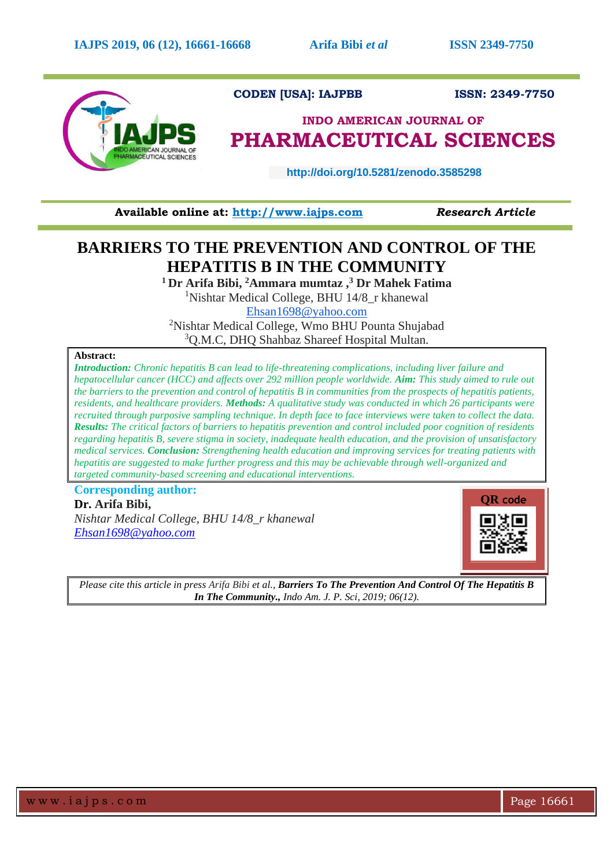

**Available online at: [http://www.iajps.com](http://www.iajps.com/)** *Research Article*

# **BARRIERS TO THE PREVENTION AND CONTROL OF THE HEPATITIS B IN THE COMMUNITY**

**<sup>1</sup>Dr Arifa Bibi, <sup>2</sup>Ammara mumtaz , <sup>3</sup> Dr Mahek Fatima** <sup>1</sup>Nishtar Medical College, BHU 14/8 r khanewal

[Ehsan1698@yahoo.com](mailto:Ehsan1698@yahoo.com)

<sup>2</sup>Nishtar Medical College, Wmo BHU Pounta Shujabad <sup>3</sup>Q.M.C, DHQ Shahbaz Shareef Hospital Multan.

# **Abstract:**

*Introduction: Chronic hepatitis B can lead to life-threatening complications, including liver failure and hepatocellular cancer (HCC) and affects over 292 million people worldwide. Aim: This study aimed to rule out the barriers to the prevention and control of hepatitis B in communities from the prospects of hepatitis patients, residents, and healthcare providers. Methods: A qualitative study was conducted in which 26 participants were recruited through purposive sampling technique. In depth face to face interviews were taken to collect the data. Results: The critical factors of barriers to hepatitis prevention and control included poor cognition of residents regarding hepatitis B, severe stigma in society, inadequate health education, and the provision of unsatisfactory medical services. Conclusion: Strengthening health education and improving services for treating patients with hepatitis are suggested to make further progress and this may be achievable through well-organized and targeted community-based screening and educational interventions.*

**Corresponding author: Dr. Arifa Bibi,**

*Nishtar Medical College, BHU 14/8\_r khanewal [Ehsan1698@yahoo.com](mailto:Ehsan1698@yahoo.com)*



*Please cite this article in press Arifa Bibi et al., Barriers To The Prevention And Control Of The Hepatitis B In The Community., Indo Am. J. P. Sci, 2019; 06(12).*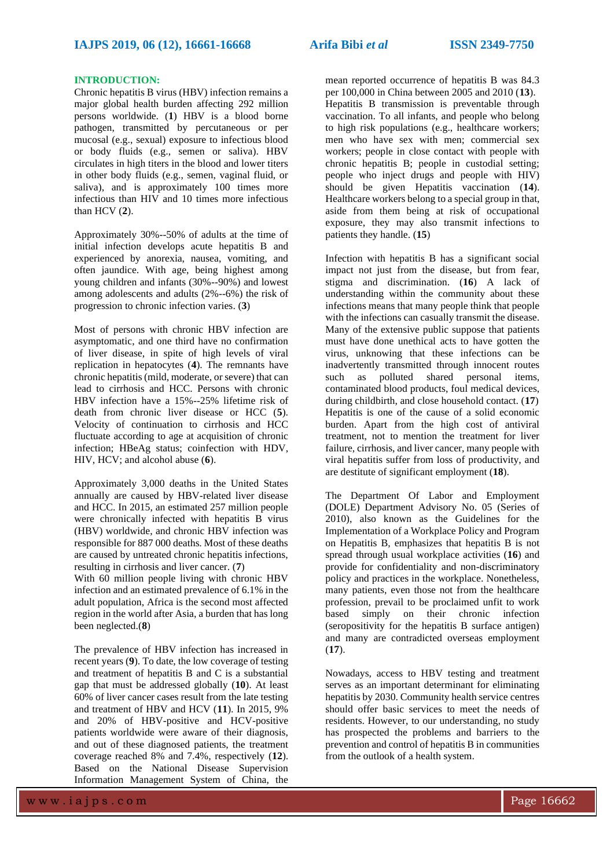# **INTRODUCTION:**

Chronic hepatitis B virus (HBV) infection remains a major global health burden affecting 292 million persons worldwide. (**1**) HBV is a blood borne pathogen, transmitted by percutaneous or per mucosal (e.g., sexual) exposure to infectious blood or body fluids (e.g., semen or saliva). HBV circulates in high titers in the blood and lower titers in other body fluids (e.g., semen, vaginal fluid, or saliva), and is approximately 100 times more infectious than HIV and 10 times more infectious than HCV (**2**).

Approximately 30%--50% of adults at the time of initial infection develops acute hepatitis B and experienced by anorexia, nausea, vomiting, and often jaundice. With age, being highest among young children and infants (30%--90%) and lowest among adolescents and adults (2%--6%) the risk of progression to chronic infection varies. (**3**)

Most of persons with chronic HBV infection are asymptomatic, and one third have no confirmation of liver disease, in spite of high levels of viral replication in hepatocytes (**4**). The remnants have chronic hepatitis (mild, moderate, or severe) that can lead to cirrhosis and HCC. Persons with chronic HBV infection have a 15%--25% lifetime risk of death from chronic liver disease or HCC (**5**). Velocity of continuation to cirrhosis and HCC fluctuate according to age at acquisition of chronic infection; HBeAg status; coinfection with HDV, HIV, HCV; and alcohol abuse (**6**).

Approximately 3,000 deaths in the United States annually are caused by HBV-related liver disease and HCC. In 2015, an estimated 257 million people were chronically infected with hepatitis B virus (HBV) worldwide, and chronic HBV infection was responsible for 887 000 deaths. Most of these deaths are caused by untreated chronic hepatitis infections, resulting in cirrhosis and liver cancer. (**7**)

With 60 million people living with chronic HBV infection and an estimated prevalence of 6.1% in the adult population, Africa is the second most affected region in the world after Asia, a burden that has long been neglected.(**8**)

The prevalence of HBV infection has increased in recent years (**9**). To date, the low coverage of testing and treatment of hepatitis B and C is a substantial gap that must be addressed globally (**10**). At least 60% of liver cancer cases result from the late testing and treatment of HBV and HCV (**11**). In 2015, 9% and 20% of HBV-positive and HCV-positive patients worldwide were aware of their diagnosis, and out of these diagnosed patients, the treatment coverage reached 8% and 7.4%, respectively (**12**). Based on the National Disease Supervision Information Management System of China, the

mean reported occurrence of hepatitis B was 84.3 per 100,000 in China between 2005 and 2010 (**13**). Hepatitis B transmission is preventable through vaccination. To all infants, and people who belong to high risk populations (e.g., healthcare workers; men who have sex with men; commercial sex workers; people in close contact with people with chronic hepatitis B; people in custodial setting; people who inject drugs and people with HIV) should be given Hepatitis vaccination (**14**). Healthcare workers belong to a special group in that, aside from them being at risk of occupational exposure, they may also transmit infections to patients they handle. (**15**)

Infection with hepatitis B has a significant social impact not just from the disease, but from fear, stigma and discrimination. (**16**) A lack of understanding within the community about these infections means that many people think that people with the infections can casually transmit the disease. Many of the extensive public suppose that patients must have done unethical acts to have gotten the virus, unknowing that these infections can be inadvertently transmitted through innocent routes such as polluted shared personal items, contaminated blood products, foul medical devices, during childbirth, and close household contact. (**17**) Hepatitis is one of the cause of a solid economic burden. Apart from the high cost of antiviral treatment, not to mention the treatment for liver failure, cirrhosis, and liver cancer, many people with viral hepatitis suffer from loss of productivity, and are destitute of significant employment (**18**).

The Department Of Labor and Employment (DOLE) Department Advisory No. 05 (Series of 2010), also known as the Guidelines for the Implementation of a Workplace Policy and Program on Hepatitis B, emphasizes that hepatitis B is not spread through usual workplace activities (**16**) and provide for confidentiality and non-discriminatory policy and practices in the workplace. Nonetheless, many patients, even those not from the healthcare profession, prevail to be proclaimed unfit to work based simply on their chronic infection (seropositivity for the hepatitis B surface antigen) and many are contradicted overseas employment (**17**).

Nowadays, access to HBV testing and treatment serves as an important determinant for eliminating hepatitis by 2030. Community health service centres should offer basic services to meet the needs of residents. However, to our understanding, no study has prospected the problems and barriers to the prevention and control of hepatitis B in communities from the outlook of a health system.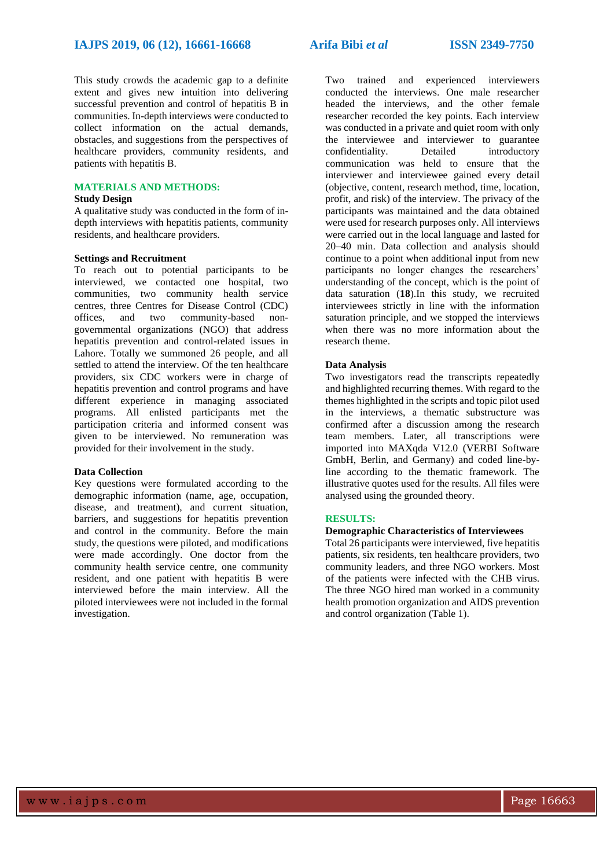This study crowds the academic gap to a definite extent and gives new intuition into delivering successful prevention and control of hepatitis B in communities. In-depth interviews were conducted to collect information on the actual demands, obstacles, and suggestions from the perspectives of healthcare providers, community residents, and patients with hepatitis B.

# **MATERIALS AND METHODS:**

#### **Study Design**

A qualitative study was conducted in the form of indepth interviews with hepatitis patients, community residents, and healthcare providers.

## **Settings and Recruitment**

To reach out to potential participants to be interviewed, we contacted one hospital, two communities, two community health service centres, three Centres for Disease Control (CDC) offices, and two community-based nongovernmental organizations (NGO) that address hepatitis prevention and control-related issues in Lahore. Totally we summoned 26 people, and all settled to attend the interview. Of the ten healthcare providers, six CDC workers were in charge of hepatitis prevention and control programs and have different experience in managing associated programs. All enlisted participants met the participation criteria and informed consent was given to be interviewed. No remuneration was provided for their involvement in the study.

# **Data Collection**

Key questions were formulated according to the demographic information (name, age, occupation, disease, and treatment), and current situation, barriers, and suggestions for hepatitis prevention and control in the community. Before the main study, the questions were piloted, and modifications were made accordingly. One doctor from the community health service centre, one community resident, and one patient with hepatitis B were interviewed before the main interview. All the piloted interviewees were not included in the formal investigation.

Two trained and experienced interviewers conducted the interviews. One male researcher headed the interviews, and the other female researcher recorded the key points. Each interview was conducted in a private and quiet room with only the interviewee and interviewer to guarantee confidentiality. Detailed introductory communication was held to ensure that the interviewer and interviewee gained every detail (objective, content, research method, time, location, profit, and risk) of the interview. The privacy of the participants was maintained and the data obtained were used for research purposes only. All interviews were carried out in the local language and lasted for 20–40 min. Data collection and analysis should continue to a point when additional input from new participants no longer changes the researchers' understanding of the concept, which is the point of data saturation (**18**).In this study, we recruited interviewees strictly in line with the information saturation principle, and we stopped the interviews when there was no more information about the research theme.

# **Data Analysis**

Two investigators read the transcripts repeatedly and highlighted recurring themes. With regard to the themes highlighted in the scripts and topic pilot used in the interviews, a thematic substructure was confirmed after a discussion among the research team members. Later, all transcriptions were imported into MAXqda V12.0 (VERBI Software GmbH, Berlin, and Germany) and coded line-byline according to the thematic framework. The illustrative quotes used for the results. All files were analysed using the grounded theory.

## **RESULTS:**

# **Demographic Characteristics of Interviewees**

Total 26 participants were interviewed, five hepatitis patients, six residents, ten healthcare providers, two community leaders, and three NGO workers. Most of the patients were infected with the CHB virus. The three NGO hired man worked in a community health promotion organization and AIDS prevention and control organization (Table 1).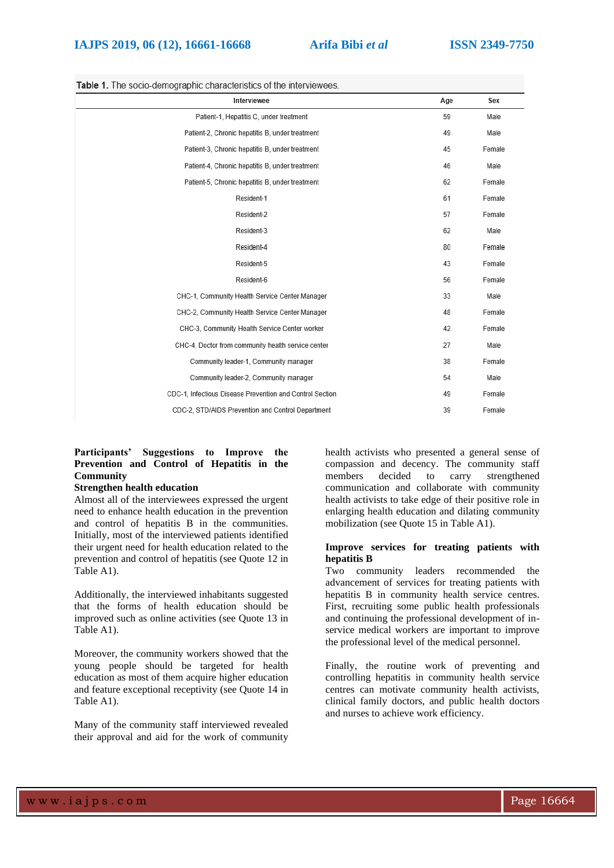# **IAJPS 2019, 06 (12), 16661-16668 Arifa Bibi** *et al* **ISSN 2349-7750**

| <b>THEIR I</b> . The accided indiriging characteristics of the interviewed. |     |        |  |
|-----------------------------------------------------------------------------|-----|--------|--|
| Interviewee                                                                 | Age | Sex    |  |
| Patient-1, Hepatitis C, under treatment                                     | 59  | Male   |  |
| Patient-2, Chronic hepatitis B, under treatment                             | 49  | Male   |  |
| Patient-3, Chronic hepatitis B, under treatment                             | 45  | Female |  |
| Patient-4, Chronic hepatitis B, under treatment                             | 46  | Male   |  |
| Patient-5, Chronic hepatitis B, under treatment                             | 62  | Female |  |
| Resident-1                                                                  | 61  | Female |  |
| Resident-2                                                                  | 57  | Female |  |
| Resident-3                                                                  | 62  | Male   |  |
| Resident-4                                                                  | 80  | Female |  |
| Resident-5                                                                  | 43  | Female |  |
| Resident-6                                                                  | 56  | Female |  |
| CHC-1, Community Health Service Center Manager                              | 33  | Male   |  |
| CHC-2. Community Health Service Center Manager                              |     | Female |  |
| CHC-3, Community Health Service Center worker                               |     | Female |  |
| CHC-4, Doctor from community health service center                          |     | Male   |  |
| Community leader-1, Community manager                                       | 38  | Female |  |
| Community leader-2, Community manager                                       | 54  | Male   |  |
| CDC-1, Infectious Disease Prevention and Control Section                    | 49  | Female |  |
| CDC-2, STD/AIDS Prevention and Control Department                           | 39  | Female |  |

## Table 1. The socio-demographic characteristics of the interviewees

# **Participants' Suggestions to Improve the Prevention and Control of Hepatitis in the Community**

# **Strengthen health education**

Almost all of the interviewees expressed the urgent need to enhance health education in the prevention and control of hepatitis B in the communities. Initially, most of the interviewed patients identified their urgent need for health education related to the prevention and control of hepatitis (see Quote 12 in Table A1).

Additionally, the interviewed inhabitants suggested that the forms of health education should be improved such as online activities (see Quote 13 in Table A1).

Moreover, the community workers showed that the young people should be targeted for health education as most of them acquire higher education and feature exceptional receptivity (see Quote 14 in Table A1).

Many of the community staff interviewed revealed their approval and aid for the work of community health activists who presented a general sense of compassion and decency. The community staff members decided to carry strengthened communication and collaborate with community health activists to take edge of their positive role in enlarging health education and dilating community mobilization (see Quote 15 in Table A1).

## **Improve services for treating patients with hepatitis B**

Two community leaders recommended the advancement of services for treating patients with hepatitis B in community health service centres. First, recruiting some public health professionals and continuing the professional development of inservice medical workers are important to improve the professional level of the medical personnel.

Finally, the routine work of preventing and controlling hepatitis in community health service centres can motivate community health activists, clinical family doctors, and public health doctors and nurses to achieve work efficiency.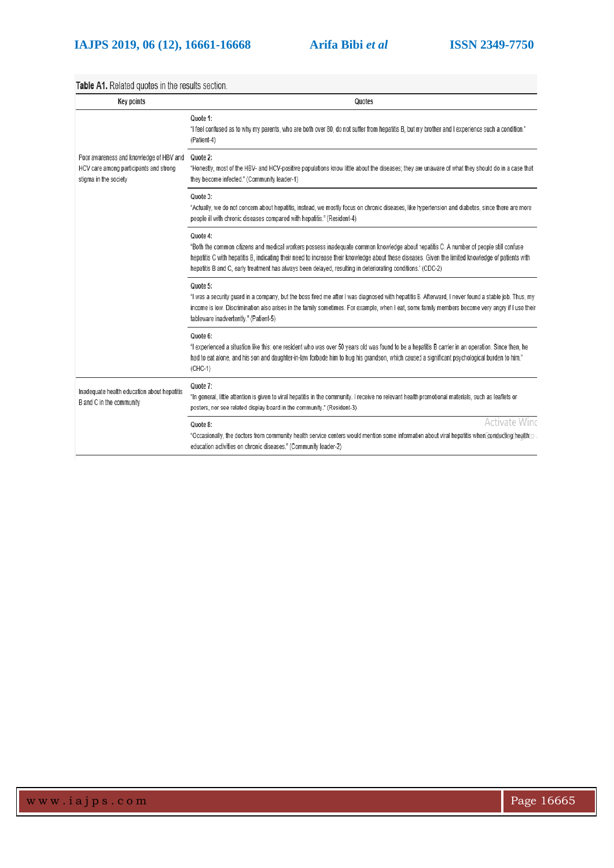Table A1. Related quotes in the results section.

| <b>Key points</b>                                                                                          | Quotes                                                                                                                                                                                                                                                                                                                                                                                                                 |
|------------------------------------------------------------------------------------------------------------|------------------------------------------------------------------------------------------------------------------------------------------------------------------------------------------------------------------------------------------------------------------------------------------------------------------------------------------------------------------------------------------------------------------------|
|                                                                                                            | Quote 1:<br>"I feel confused as to why my parents, who are both over 80, do not suffer from hepatitis B, but my brother and I experience such a condition."<br>(Patient-4)                                                                                                                                                                                                                                             |
| Poor awareness and knowledge of HBV and<br>HCV care among participants and strong<br>stigma in the society | Quote 2:<br>"Honestly, most of the HBV- and HCV-positive populations know little about the diseases; they are unaware of what they should do in a case that<br>they become infected." (Community leader-1)                                                                                                                                                                                                             |
|                                                                                                            | Quote 3:<br>"Actually, we do not concern about hepatitis, instead, we mostly focus on chronic diseases, like hypertension and diabetes, since there are more<br>people ill with chronic diseases compared with hepatitis." (Resident-4)                                                                                                                                                                                |
|                                                                                                            | Quote 4:<br>"Both the common citizens and medical workers possess inadequate common knowledge about hepatitis C. A number of people still confuse<br>hepatitis C with hepatitis B, indicating their need to increase their knowledge about these diseases. Given the limited knowledge of patients with<br>hepatitis B and C, early treatment has always been delayed, resulting in deteriorating conditions." (CDC-2) |
|                                                                                                            | Quote 5:<br>"I was a security guard in a company, but the boss fired me after I was diagnosed with hepatitis B. Afterward, I never found a stable job. Thus, my<br>income is low. Discrimination also arises in the family sometimes. For example, when I eat, some family members become very angry if I use their<br>tableware inadvertently." (Patient-5)                                                           |
|                                                                                                            | Quote 6:<br>"I experienced a situation like this: one resident who was over 50 years old was found to be a hepatitis B carrier in an operation. Since then, he<br>had to eat alone, and his son and daughter-in-law forbade him to hug his grandson, which caused a significant psychological burden to him."<br>$(CHC-1)$                                                                                             |
| Inadequate health education about hepatitis<br>B and C in the community                                    | Quote 7:<br>"In general, little attention is given to viral hepatitis in the community. I receive no relevant health promotional materials, such as leaflets or<br>posters, nor see related display board in the community." (Resident-3)                                                                                                                                                                              |
|                                                                                                            | Activate Winc<br>Quote 8:<br>*Occasionally, the doctors from community health service centers would mention some information about viral hepatitis when coniducting health o<br>education activities on chronic diseases." (Community leader-2)                                                                                                                                                                        |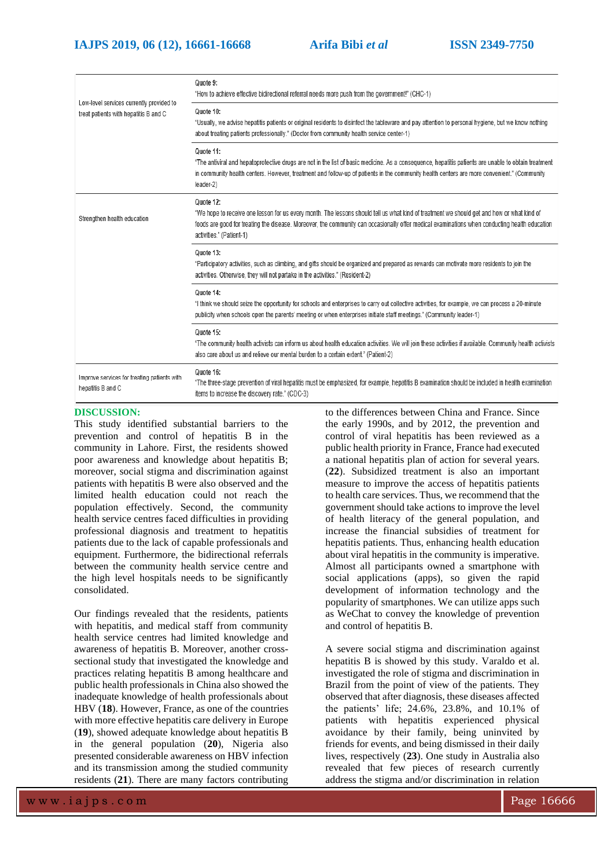| Low-level services currently provided to<br>treat patients with hepatitis B and C | Quote 9:<br>"How to achieve effective bidirectional referral needs more push from the government!" (CHC-1)                                                                                                                                                                                                                           |
|-----------------------------------------------------------------------------------|--------------------------------------------------------------------------------------------------------------------------------------------------------------------------------------------------------------------------------------------------------------------------------------------------------------------------------------|
|                                                                                   | Quote 10:<br>"Usually, we advise hepatitis patients or original residents to disinfect the tableware and pay attention to personal hygiene, but we know nothing<br>about treating patients professionally." (Doctor from community health service center-1)                                                                          |
|                                                                                   | Quote 11:<br>"The antiviral and hepatoprotective drugs are not in the list of basic medicine. As a consequence, hepatitis patients are unable to obtain treatment<br>in community health centers. However, treatment and follow-up of patients in the community health centers are more convenient." (Community<br>leader-2)         |
| Strengthen health education                                                       | Quote 12:<br>"We hope to receive one lesson for us every month. The lessons should tell us what kind of treatment we should get and how or what kind of<br>foods are good for treating the disease. Moreover, the community can occasionally offer medical examinations when conducting health education<br>activities." (Patient-1) |
|                                                                                   | Quote 13:<br>"Participatory activities, such as climbing, and gifts should be organized and prepared as rewards can motivate more residents to join the<br>activities. Otherwise, they will not partake in the activities." (Resident-2)                                                                                             |
|                                                                                   | Quote 14:<br>"I think we should seize the opportunity for schools and enterprises to carry out collective activities, for example, we can process a 20-minute<br>publicity when schools open the parents' meeting or when enterprises initiate staff meetings." (Community leader-1)                                                 |
|                                                                                   | Quote 15:<br>"The community health activists can inform us about health education activities. We will join these activities if available. Community health activists<br>also care about us and relieve our mental burden to a certain extent." (Patient-2)                                                                           |
| Improve services for treating patients with<br>hepatitis B and C                  | Quote 16:<br>"The three-stage prevention of viral hepatitis must be emphasized, for example, hepatitis B examination should be included in health examination<br>items to increase the discovery rate." (CDC-3)                                                                                                                      |

# **DISCUSSION:**

This study identified substantial barriers to the prevention and control of hepatitis B in the community in Lahore. First, the residents showed poor awareness and knowledge about hepatitis B; moreover, social stigma and discrimination against patients with hepatitis B were also observed and the limited health education could not reach the population effectively. Second, the community health service centres faced difficulties in providing professional diagnosis and treatment to hepatitis patients due to the lack of capable professionals and equipment. Furthermore, the bidirectional referrals between the community health service centre and the high level hospitals needs to be significantly consolidated.

Our findings revealed that the residents, patients with hepatitis, and medical staff from community health service centres had limited knowledge and awareness of hepatitis B. Moreover, another crosssectional study that investigated the knowledge and practices relating hepatitis B among healthcare and public health professionals in China also showed the inadequate knowledge of health professionals about HBV (**18**). However, France, as one of the countries with more effective hepatitis care delivery in Europe (**19**), showed adequate knowledge about hepatitis B in the general population (**20**), Nigeria also presented considerable awareness on HBV infection and its transmission among the studied community residents (**21**). There are many factors contributing

to the differences between China and France. Since the early 1990s, and by 2012, the prevention and control of viral hepatitis has been reviewed as a public health priority in France, France had executed a national hepatitis plan of action for several years. (**22**). Subsidized treatment is also an important measure to improve the access of hepatitis patients to health care services. Thus, we recommend that the government should take actions to improve the level of health literacy of the general population, and increase the financial subsidies of treatment for hepatitis patients. Thus, enhancing health education about viral hepatitis in the community is imperative. Almost all participants owned a smartphone with social applications (apps), so given the rapid development of information technology and the popularity of smartphones. We can utilize apps such as WeChat to convey the knowledge of prevention and control of hepatitis B.

A severe social stigma and discrimination against hepatitis B is showed by this study. Varaldo et al. investigated the role of stigma and discrimination in Brazil from the point of view of the patients. They observed that after diagnosis, these diseases affected the patients' life; 24.6%, 23.8%, and 10.1% of patients with hepatitis experienced physical avoidance by their family, being uninvited by friends for events, and being dismissed in their daily lives, respectively (**23**). One study in Australia also revealed that few pieces of research currently address the stigma and/or discrimination in relation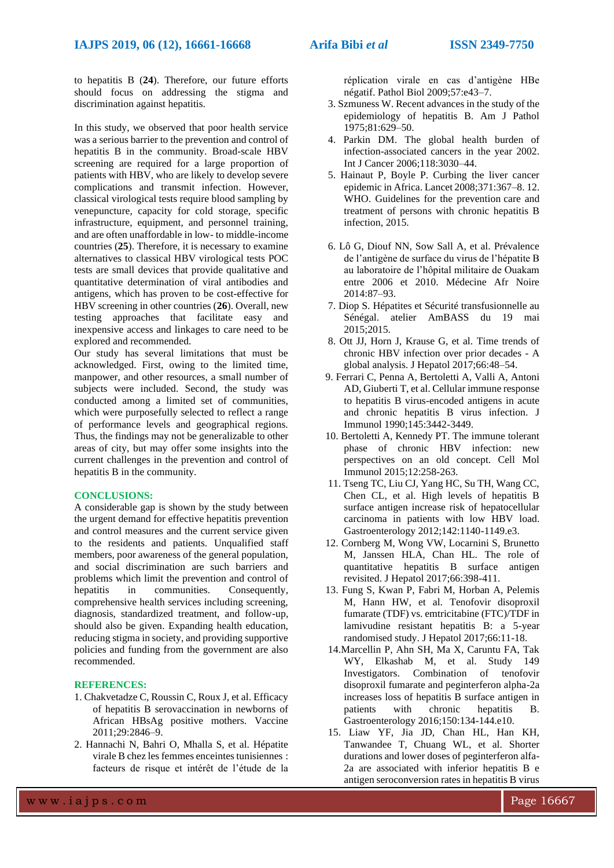to hepatitis B (**24**). Therefore, our future efforts should focus on addressing the stigma and discrimination against hepatitis.

In this study, we observed that poor health service was a serious barrier to the prevention and control of hepatitis B in the community. Broad-scale HBV screening are required for a large proportion of patients with HBV, who are likely to develop severe complications and transmit infection. However, classical virological tests require blood sampling by venepuncture, capacity for cold storage, specific infrastructure, equipment, and personnel training, and are often unaffordable in low- to middle-income countries (**25**). Therefore, it is necessary to examine alternatives to classical HBV virological tests POC tests are small devices that provide qualitative and quantitative determination of viral antibodies and antigens, which has proven to be cost-effective for HBV screening in other countries (**26**). Overall, new testing approaches that facilitate easy and inexpensive access and linkages to care need to be explored and recommended.

Our study has several limitations that must be acknowledged. First, owing to the limited time, manpower, and other resources, a small number of subjects were included. Second, the study was conducted among a limited set of communities, which were purposefully selected to reflect a range of performance levels and geographical regions. Thus, the findings may not be generalizable to other areas of city, but may offer some insights into the current challenges in the prevention and control of hepatitis B in the community.

# **CONCLUSIONS:**

A considerable gap is shown by the study between the urgent demand for effective hepatitis prevention and control measures and the current service given to the residents and patients. Unqualified staff members, poor awareness of the general population, and social discrimination are such barriers and problems which limit the prevention and control of hepatitis in communities. Consequently, comprehensive health services including screening, diagnosis, standardized treatment, and follow-up, should also be given. Expanding health education, reducing stigma in society, and providing supportive policies and funding from the government are also recommended.

#### **REFERENCES:**

- 1. Chakvetadze C, Roussin C, Roux J, et al. Efficacy of hepatitis B serovaccination in newborns of African HBsAg positive mothers. Vaccine 2011;29:2846–9.
- 2. Hannachi N, Bahri O, Mhalla S, et al. Hépatite virale B chez les femmes enceintes tunisiennes : facteurs de risque et intérêt de l'étude de la

réplication virale en cas d'antigène HBe négatif. Pathol Biol 2009;57:e43–7.

- 3. Szmuness W. Recent advances in the study of the epidemiology of hepatitis B. Am J Pathol 1975;81:629–50.
- 4. Parkin DM. The global health burden of infection-associated cancers in the year 2002. Int J Cancer 2006;118:3030–44.
- 5. Hainaut P, Boyle P. Curbing the liver cancer epidemic in Africa. Lancet 2008;371:367–8. 12. WHO. Guidelines for the prevention care and treatment of persons with chronic hepatitis B infection, 2015.
- 6. Lô G, Diouf NN, Sow Sall A, et al. Prévalence de l'antigène de surface du virus de l'hépatite B au laboratoire de l'hôpital militaire de Ouakam entre 2006 et 2010. Médecine Afr Noire 2014:87–93.
- 7. Diop S. Hépatites et Sécurité transfusionnelle au Sénégal. atelier AmBASS du 19 mai 2015;2015.
- 8. Ott JJ, Horn J, Krause G, et al. Time trends of chronic HBV infection over prior decades - A global analysis. J Hepatol 2017;66:48–54.
- 9. Ferrari C, Penna A, Bertoletti A, Valli A, Antoni AD, Giuberti T, et al. Cellular immune response to hepatitis B virus-encoded antigens in acute and chronic hepatitis B virus infection. J Immunol 1990;145:3442-3449.
- 10. Bertoletti A, Kennedy PT. The immune tolerant phase of chronic HBV infection: new perspectives on an old concept. Cell Mol Immunol 2015;12:258-263.
- 11. Tseng TC, Liu CJ, Yang HC, Su TH, Wang CC, Chen CL, et al. High levels of hepatitis B surface antigen increase risk of hepatocellular carcinoma in patients with low HBV load. Gastroenterology 2012;142:1140-1149.e3.
- 12. Cornberg M, Wong VW, Locarnini S, Brunetto M, Janssen HLA, Chan HL. The role of quantitative hepatitis B surface antigen revisited. J Hepatol 2017;66:398-411.
- 13. Fung S, Kwan P, Fabri M, Horban A, Pelemis M, Hann HW, et al. Tenofovir disoproxil fumarate (TDF) vs. emtricitabine (FTC)/TDF in lamivudine resistant hepatitis B: a 5-year randomised study. J Hepatol 2017;66:11-18.
- 14.Marcellin P, Ahn SH, Ma X, Caruntu FA, Tak WY, Elkashab M, et al. Study 149 Investigators. Combination of tenofovir disoproxil fumarate and peginterferon alpha-2a increases loss of hepatitis B surface antigen in patients with chronic hepatitis B. Gastroenterology 2016;150:134-144.e10.
- 15. Liaw YF, Jia JD, Chan HL, Han KH, Tanwandee T, Chuang WL, et al. Shorter durations and lower doses of peginterferon alfa-2a are associated with inferior hepatitis B e antigen seroconversion rates in hepatitis B virus